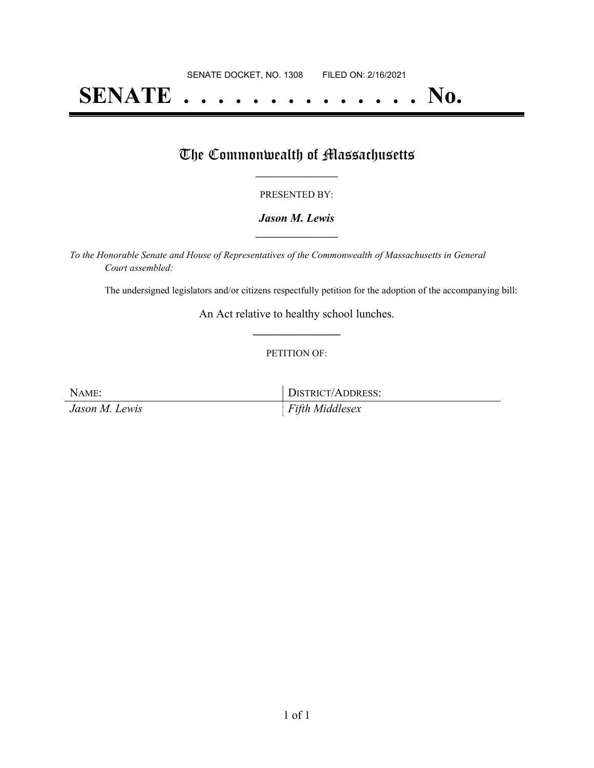# **SENATE . . . . . . . . . . . . . . No.**

## The Commonwealth of Massachusetts

#### PRESENTED BY:

#### *Jason M. Lewis* **\_\_\_\_\_\_\_\_\_\_\_\_\_\_\_\_\_**

*To the Honorable Senate and House of Representatives of the Commonwealth of Massachusetts in General Court assembled:*

The undersigned legislators and/or citizens respectfully petition for the adoption of the accompanying bill:

An Act relative to healthy school lunches. **\_\_\_\_\_\_\_\_\_\_\_\_\_\_\_**

#### PETITION OF:

NAME: DISTRICT/ADDRESS: *Jason M. Lewis Fifth Middlesex*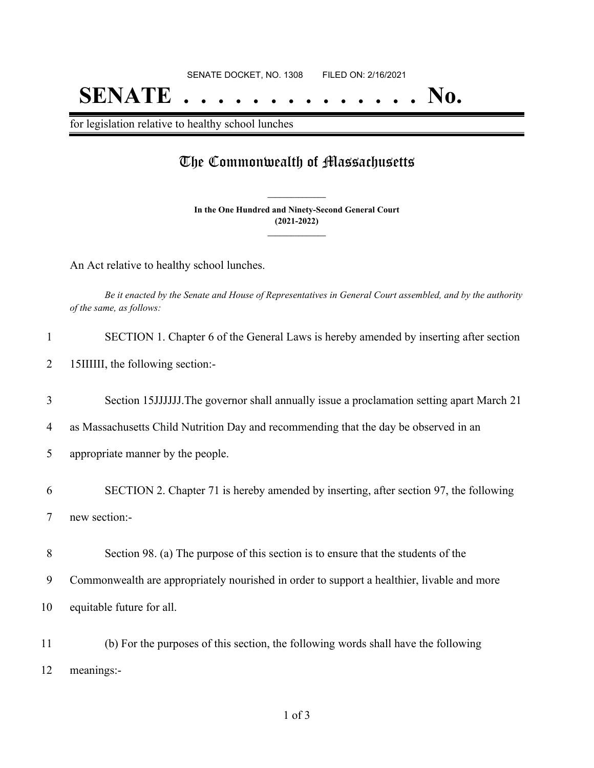## **SENATE . . . . . . . . . . . . . . No.**

for legislation relative to healthy school lunches

### The Commonwealth of Massachusetts

**In the One Hundred and Ninety-Second General Court (2021-2022) \_\_\_\_\_\_\_\_\_\_\_\_\_\_\_**

**\_\_\_\_\_\_\_\_\_\_\_\_\_\_\_**

An Act relative to healthy school lunches.

Be it enacted by the Senate and House of Representatives in General Court assembled, and by the authority *of the same, as follows:*

2 15IIIIII, the following section:-

3 Section 15JJJJJJ.The governor shall annually issue a proclamation setting apart March 21

4 as Massachusetts Child Nutrition Day and recommending that the day be observed in an

5 appropriate manner by the people.

6 SECTION 2. Chapter 71 is hereby amended by inserting, after section 97, the following 7 new section:-

8 Section 98. (a) The purpose of this section is to ensure that the students of the

9 Commonwealth are appropriately nourished in order to support a healthier, livable and more

10 equitable future for all.

11 (b) For the purposes of this section, the following words shall have the following 12 meanings:-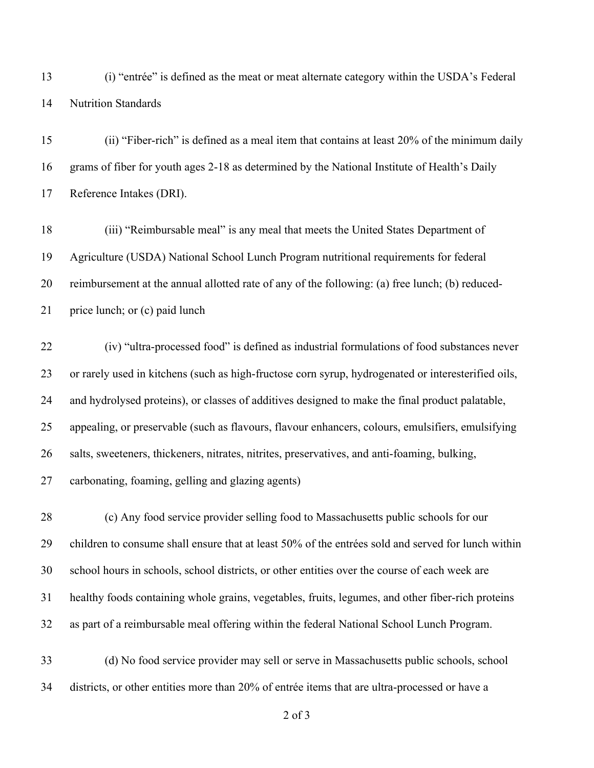(i) "entrée" is defined as the meat or meat alternate category within the USDA's Federal Nutrition Standards

 (ii) "Fiber-rich" is defined as a meal item that contains at least 20% of the minimum daily grams of fiber for youth ages 2-18 as determined by the National Institute of Health's Daily Reference Intakes (DRI).

 (iii) "Reimbursable meal" is any meal that meets the United States Department of Agriculture (USDA) National School Lunch Program nutritional requirements for federal reimbursement at the annual allotted rate of any of the following: (a) free lunch; (b) reduced-21 price lunch; or (c) paid lunch

 (iv) "ultra-processed food" is defined as industrial formulations of food substances never or rarely used in kitchens (such as high-fructose corn syrup, hydrogenated or interesterified oils, and hydrolysed proteins), or classes of additives designed to make the final product palatable, appealing, or preservable (such as flavours, flavour enhancers, colours, emulsifiers, emulsifying salts, sweeteners, thickeners, nitrates, nitrites, preservatives, and anti-foaming, bulking, carbonating, foaming, gelling and glazing agents)

 (c) Any food service provider selling food to Massachusetts public schools for our children to consume shall ensure that at least 50% of the entrées sold and served for lunch within school hours in schools, school districts, or other entities over the course of each week are healthy foods containing whole grains, vegetables, fruits, legumes, and other fiber-rich proteins as part of a reimbursable meal offering within the federal National School Lunch Program.

 (d) No food service provider may sell or serve in Massachusetts public schools, school districts, or other entities more than 20% of entrée items that are ultra-processed or have a

of 3